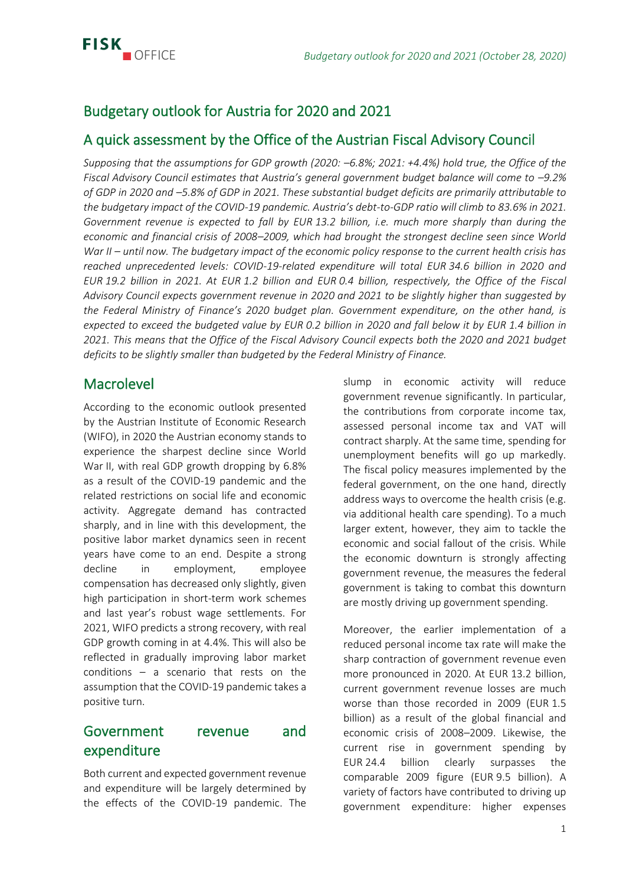

# Budgetary outlook for Austria for 2020 and 2021

## A quick assessment by the Office of the Austrian Fiscal Advisory Council

*Supposing that the assumptions for GDP growth (2020: –6.8%; 2021: +4.4%) hold true, the Office of the Fiscal Advisory Council estimates that Austria's general government budget balance will come to –9.2% of GDP in 2020 and –5.8% of GDP in 2021. These substantial budget deficits are primarily attributable to the budgetary impact of the COVID-19 pandemic. Austria's debt-to-GDP ratio will climb to 83.6% in 2021. Government revenue is expected to fall by EUR 13.2 billion, i.e. much more sharply than during the economic and financial crisis of 2008–2009, which had brought the strongest decline seen since World War II – until now. The budgetary impact of the economic policy response to the current health crisis has reached unprecedented levels: COVID-19-related expenditure will total EUR 34.6 billion in 2020 and EUR 19.2 billion in 2021. At EUR 1.2 billion and EUR 0.4 billion, respectively, the Office of the Fiscal Advisory Council expects government revenue in 2020 and 2021 to be slightly higher than suggested by the Federal Ministry of Finance's 2020 budget plan. Government expenditure, on the other hand, is expected to exceed the budgeted value by EUR 0.2 billion in 2020 and fall below it by EUR 1.4 billion in 2021. This means that the Office of the Fiscal Advisory Council expects both the 2020 and 2021 budget deficits to be slightly smaller than budgeted by the Federal Ministry of Finance.*

### **Macrolevel**

According to the economic outlook presented by the Austrian Institute of Economic Research (WIFO), in 2020 the Austrian economy stands to experience the sharpest decline since World War II, with real GDP growth dropping by 6.8% as a result of the COVID-19 pandemic and the related restrictions on social life and economic activity. Aggregate demand has contracted sharply, and in line with this development, the positive labor market dynamics seen in recent years have come to an end. Despite a strong decline in employment, employee compensation has decreased only slightly, given high participation in short-term work schemes and last year's robust wage settlements. For 2021, WIFO predicts a strong recovery, with real GDP growth coming in at 4.4%. This will also be reflected in gradually improving labor market conditions – a scenario that rests on the assumption that the COVID-19 pandemic takes a positive turn.

# Government revenue and expenditure

Both current and expected government revenue and expenditure will be largely determined by the effects of the COVID-19 pandemic. The slump in economic activity will reduce government revenue significantly. In particular, the contributions from corporate income tax, assessed personal income tax and VAT will contract sharply. At the same time, spending for unemployment benefits will go up markedly. The fiscal policy measures implemented by the federal government, on the one hand, directly address ways to overcome the health crisis (e.g. via additional health care spending). To a much larger extent, however, they aim to tackle the economic and social fallout of the crisis. While the economic downturn is strongly affecting government revenue, the measures the federal government is taking to combat this downturn are mostly driving up government spending.

Moreover, the earlier implementation of a reduced personal income tax rate will make the sharp contraction of government revenue even more pronounced in 2020. At EUR 13.2 billion, current government revenue losses are much worse than those recorded in 2009 (EUR 1.5 billion) as a result of the global financial and economic crisis of 2008–2009. Likewise, the current rise in government spending by EUR 24.4 billion clearly surpasses the comparable 2009 figure (EUR 9.5 billion). A variety of factors have contributed to driving up government expenditure: higher expenses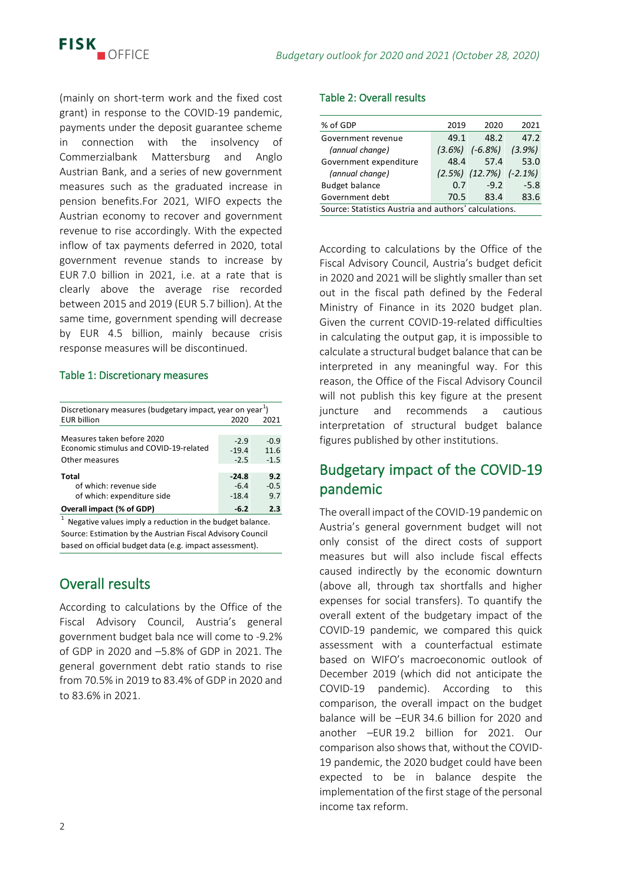(mainly on short-term work and the fixed cost grant) in response to the COVID-19 pandemic, payments under the deposit guarantee scheme in connection with the insolvency of Commerzialbank Mattersburg and Anglo Austrian Bank, and a series of new government measures such as the graduated increase in pension benefits.For 2021, WIFO expects the Austrian economy to recover and government revenue to rise accordingly. With the expected inflow of tax payments deferred in 2020, total government revenue stands to increase by EUR 7.0 billion in 2021, i.e. at a rate that is clearly above the average rise recorded between 2015 and 2019 (EUR 5.7 billion). At the same time, government spending will decrease by EUR 4.5 billion, mainly because crisis response measures will be discontinued.

#### Table 1: Discretionary measures

| Discretionary measures (budgetary impact, year on year <sup>1</sup> )                                          |         |        |  |  |  |  |  |
|----------------------------------------------------------------------------------------------------------------|---------|--------|--|--|--|--|--|
| <b>EUR billion</b>                                                                                             | 2020    | 2021   |  |  |  |  |  |
|                                                                                                                |         |        |  |  |  |  |  |
| Measures taken before 2020                                                                                     | $-2.9$  | $-0.9$ |  |  |  |  |  |
| Economic stimulus and COVID-19-related                                                                         | $-19.4$ | 11.6   |  |  |  |  |  |
| Other measures                                                                                                 | $-2.5$  | $-1.5$ |  |  |  |  |  |
|                                                                                                                |         |        |  |  |  |  |  |
| Total                                                                                                          | $-24.8$ | 9.2    |  |  |  |  |  |
| of which: revenue side                                                                                         | $-6.4$  | $-0.5$ |  |  |  |  |  |
| of which: expenditure side                                                                                     | $-18.4$ | 9.7    |  |  |  |  |  |
| Overall impact (% of GDP)                                                                                      | $-6.2$  | 2.3    |  |  |  |  |  |
| - 2010 - 2010 - 2010 - 2011 - 2012 - 2012 - 2012 - 2012 - 2012 - 2012 - 2012 - 2012 - 2012 - 2012 - 2012 - 201 |         |        |  |  |  |  |  |

Source: Estimation by the Austrian Fiscal Advisory Council based on official budget data (e.g. impact assessment). 1 Negative values imply a reduction in the budget balance.

# Overall results

According to calculations by the Office of the Fiscal Advisory Council, Austria's general government budget bala nce will come to -9.2% of GDP in 2020 and –5.8% of GDP in 2021. The general government debt ratio stands to rise from 70.5% in 2019 to 83.4% of GDP in 2020 and to 83.6% in 2021.

### Table 2: Overall results

| % of GDP                                              | 2019 | 2020                            | 2021      |  |  |  |
|-------------------------------------------------------|------|---------------------------------|-----------|--|--|--|
| Government revenue                                    | 49.1 | 48.2                            | 47.2      |  |  |  |
| (annual change)                                       |      | $(3.6\%)$ $(-6.8\%)$            | $(3.9\%)$ |  |  |  |
| Government expenditure                                | 48.4 | 57.4                            | 53.0      |  |  |  |
| (annual change)                                       |      | $(2.5\%)$ $(12.7\%)$ $(-2.1\%)$ |           |  |  |  |
| <b>Budget balance</b>                                 | 0.7  | $-9.2$                          | $-5.8$    |  |  |  |
| Government debt                                       | 70.5 | 83.4                            | 83.6      |  |  |  |
| Source: Statistics Austria and authors' calculations. |      |                                 |           |  |  |  |
|                                                       |      |                                 |           |  |  |  |

According to calculations by the Office of the Fiscal Advisory Council, Austria's budget deficit in 2020 and 2021 will be slightly smaller than set out in the fiscal path defined by the Federal Ministry of Finance in its 2020 budget plan. Given the current COVID-19-related difficulties in calculating the output gap, it is impossible to calculate a structural budget balance that can be interpreted in any meaningful way. For this reason, the Office of the Fiscal Advisory Council will not publish this key figure at the present juncture and recommends a cautious interpretation of structural budget balance figures published by other institutions.

# Budgetary impact of the COVID-19 pandemic

The overall impact of the COVID-19 pandemic on Austria's general government budget will not only consist of the direct costs of support measures but will also include fiscal effects caused indirectly by the economic downturn (above all, through tax shortfalls and higher expenses for social transfers). To quantify the overall extent of the budgetary impact of the COVID-19 pandemic, we compared this quick assessment with a counterfactual estimate based on WIFO's macroeconomic outlook of December 2019 (which did not anticipate the COVID-19 pandemic). According to this comparison, the overall impact on the budget balance will be –EUR 34.6 billion for 2020 and another –EUR 19.2 billion for 2021. Our comparison also shows that, without the COVID-19 pandemic, the 2020 budget could have been expected to be in balance despite the implementation of the first stage of the personal income tax reform.